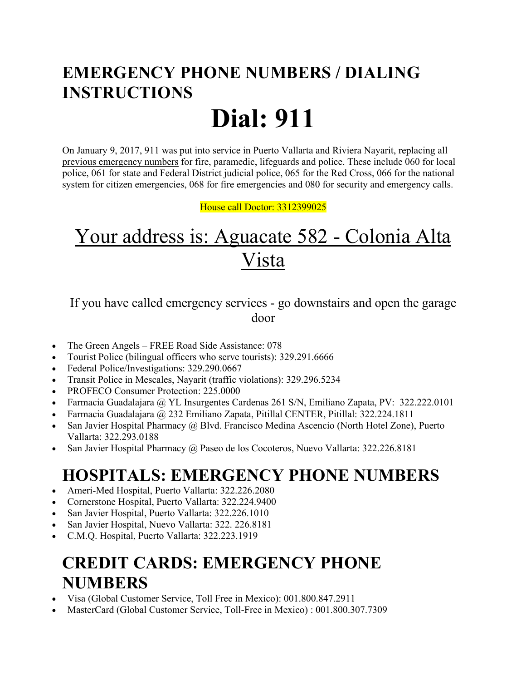## **EMERGENCY PHONE NUMBERS / DIALING INSTRUCTIONS Dial: 911**

On January 9, 2017, 911 was put into service in Puerto Vallarta and Riviera Nayarit, replacing all previous emergency numbers for fire, paramedic, lifeguards and police. These include 060 for local police, 061 for state and Federal District judicial police, 065 for the Red Cross, 066 for the national system for citizen emergencies, 068 for fire emergencies and 080 for security and emergency calls.

House call Doctor: 3312399025

# Your address is: Aguacate 582 - Colonia Alta Vista

If you have called emergency services - go downstairs and open the garage door

- The Green Angels FREE Road Side Assistance: 078
- Tourist Police (bilingual officers who serve tourists): 329.291.6666
- Federal Police/Investigations: 329.290.0667
- Transit Police in Mescales, Nayarit (traffic violations): 329.296.5234
- PROFECO Consumer Protection: 225.0000
- Farmacia Guadalajara @ YL Insurgentes Cardenas 261 S/N, Emiliano Zapata, PV: 322.222.0101
- Farmacia Guadalajara @ 232 Emiliano Zapata, Pitillal CENTER, Pitillal: 322.224.1811
- San Javier Hospital Pharmacy @ Blvd. Francisco Medina Ascencio (North Hotel Zone), Puerto Vallarta: 322.293.0188
- San Javier Hospital Pharmacy @ Paseo de los Cocoteros, Nuevo Vallarta: 322.226.8181

## **HOSPITALS: EMERGENCY PHONE NUMBERS**

- Ameri-Med Hospital, Puerto Vallarta: 322.226.2080
- Cornerstone Hospital, Puerto Vallarta: 322.224.9400
- San Javier Hospital, Puerto Vallarta: 322.226.1010
- San Javier Hospital, Nuevo Vallarta: 322. 226.8181
- C.M.Q. Hospital, Puerto Vallarta: 322.223.1919

#### **CREDIT CARDS: EMERGENCY PHONE NUMBERS**

- Visa (Global Customer Service, Toll Free in Mexico): 001.800.847.2911
- MasterCard (Global Customer Service, Toll-Free in Mexico) : 001.800.307.7309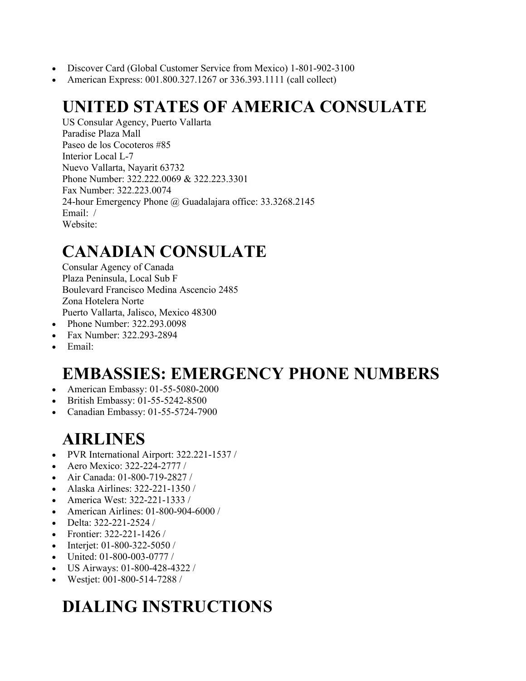- Discover Card (Global Customer Service from Mexico) 1-801-902-3100
- American Express: 001.800.327.1267 or 336.393.1111 (call collect)

## **UNITED STATES OF AMERICA CONSULATE**

US Consular Agency, Puerto Vallarta Paradise Plaza Mall Paseo de los Cocoteros #85 Interior Local L-7 Nuevo Vallarta, Nayarit 63732 Phone Number: 322.222.0069 & 322.223.3301 Fax Number: 322.223.0074 24-hour Emergency Phone @ Guadalajara office: 33.3268.2145 Email: / Website:

#### **CANADIAN CONSULATE**

Consular Agency of Canada Plaza Peninsula, Local Sub F Boulevard Francisco Medina Ascencio 2485 Zona Hotelera Norte Puerto Vallarta, Jalisco, Mexico 48300

- Phone Number: 322.293.0098
- Fax Number: 322.293-2894
- Email:

#### **EMBASSIES: EMERGENCY PHONE NUMBERS**

- American Embassy: 01-55-5080-2000
- British Embassy: 01-55-5242-8500
- Canadian Embassy: 01-55-5724-7900

#### **AIRLINES**

- PVR International Airport: 322.221-1537 /
- Aero Mexico: 322-224-2777 /
- Air Canada: 01-800-719-2827 /
- Alaska Airlines: 322-221-1350 /
- America West: 322-221-1333 /
- American Airlines: 01-800-904-6000 /
- Delta: 322-221-2524 /
- Frontier: 322-221-1426 /
- Interjet: 01-800-322-5050 /
- United: 01-800-003-0777 /
- US Airways: 01-800-428-4322 /
- Westjet: 001-800-514-7288 /

## **DIALING INSTRUCTIONS**